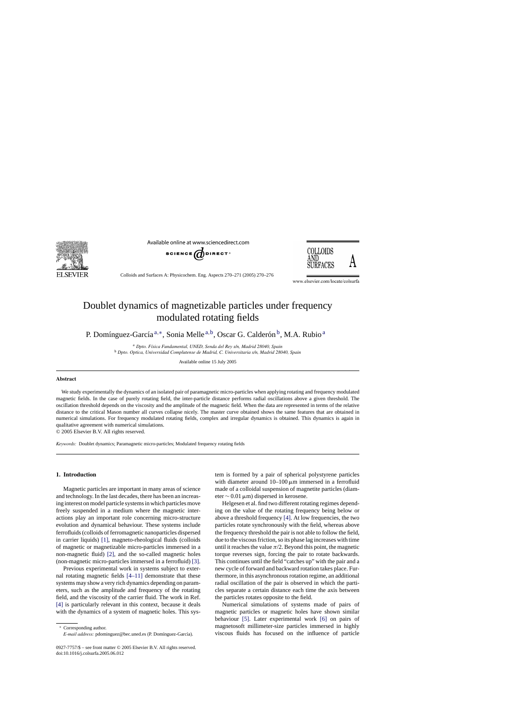

Available online at www.sciencedirect.com





Colloids and Surfaces A: Physicochem. Eng. Aspects 270–271 (2005) 270–276

www.elsevier.com/locate/colsurfa

# Doublet dynamics of magnetizable particles under frequency modulated rotating fields

P. Domínguez-García<sup>a,∗</sup>, Sonia Melle<sup>a,b</sup>, Oscar G. Calderón<sup>b</sup>, M.A. Rubio<sup>a</sup>

<sup>a</sup> *Dpto. F´ısica Fundamental, UNED, Senda del Rey s/n, Madrid 28040, Spain* <sup>b</sup> *Dpto. Optica, Universidad Complutense de Madrid, C. Universitaria s/n, Madrid 28040, Spain*

Available online 15 July 2005

## **Abstract**

We study experimentally the dynamics of an isolated pair of paramagnetic micro-particles when applying rotating and frequency modulated magnetic fields. In the case of purely rotating field, the inter-particle distance performs radial oscillations above a given threshold. The oscillation threshold depends on the viscosity and the amplitude of the magnetic field. When the data are represented in terms of the relative distance to the critical Mason number all curves collapse nicely. The master curve obtained shows the same features that are obtained in numerical simulations. For frequency modulated rotating fields, complex and irregular dynamics is obtained. This dynamics is again in qualitative agreement with numerical simulations.

© 2005 Elsevier B.V. All rights reserved.

*Keywords:* Doublet dynamics; Paramagnetic micro-particles; Modulated frequency rotating fields

# **1. Introduction**

Magnetic particles are important in many areas of science and technology. In the last decades, there has been an increasing interest on model particle systems in which particles move freely suspended in a medium where the magnetic interactions play an important role concerning micro-structure evolution and dynamical behaviour. These systems include ferrofluids (colloids of ferromagnetic nanoparticles dispersed in carrier liquids) [\[1\],](#page-6-0) magneto-rheological fluids (colloids of magnetic or magnetizable micro-particles immersed in a non-magnetic fluid) [\[2\],](#page-6-0) and the so-called magnetic holes (non-magnetic micro-particles immersed in a ferrofluid) [\[3\].](#page-6-0)

Previous experimental work in systems subject to external rotating magnetic fields [\[4–11\]](#page-6-0) demonstrate that these systems may show a very rich dynamics depending on parameters, such as the amplitude and frequency of the rotating field, and the viscosity of the carrier fluid. The work in Ref. [\[4\]](#page-6-0) is particularly relevant in this context, because it deals with the dynamics of a system of magnetic holes. This sys-

∗ Corresponding author. *E-mail address:* pdominguez@bec.uned.es (P. Domínguez-García). tem is formed by a pair of spherical polystyrene particles with diameter around  $10-100 \mu m$  immersed in a ferrofluid made of a colloidal suspension of magnetite particles (diameter  $\sim$  0.01 µm) dispersed in kerosene.

Helgesen et al. find two different rotating regimes depending on the value of the rotating frequency being below or above a threshold frequency [\[4\]. A](#page-6-0)t low frequencies, the two particles rotate synchronously with the field, whereas above the frequency threshold the pair is not able to follow the field, due to the viscous friction, so its phase lag increases with time until it reaches the value  $\pi/2$ . Beyond this point, the magnetic torque reverses sign, forcing the pair to rotate backwards. This continues until the field "catches up" with the pair and a new cycle of forward and backward rotation takes place. Furthermore, in this asynchronous rotation regime, an additional radial oscillation of the pair is observed in which the particles separate a certain distance each time the axis between the particles rotates opposite to the field.

Numerical simulations of systems made of pairs of magnetic particles or magnetic holes have shown similar behaviour [\[5\].](#page-6-0) Later experimental work [\[6\]](#page-6-0) on pairs of magnetosoft millimeter-size particles immersed in highly viscous fluids has focused on the influence of particle

<sup>0927-7757/\$ –</sup> see front matter © 2005 Elsevier B.V. All rights reserved. doi:10.1016/j.colsurfa.2005.06.012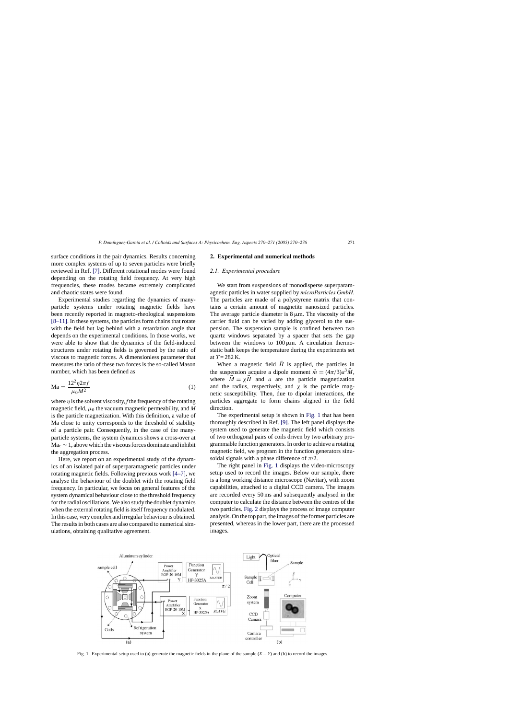surface conditions in the pair dynamics. Results concerning more complex systems of up to seven particles were briefly reviewed in Ref. [\[7\].](#page-6-0) Different rotational modes were found depending on the rotating field frequency. At very high frequencies, these modes became extremely complicated and chaotic states were found.

Experimental studies regarding the dynamics of manyparticle systems under rotating magnetic fields have been recently reported in magneto-rheological suspensions [\[8–11\]. I](#page-6-0)n these systems, the particles form chains that rotate with the field but lag behind with a retardation angle that depends on the experimental conditions. In those works, we were able to show that the dynamics of the field-induced structures under rotating fields is governed by the ratio of viscous to magnetic forces. A dimensionless parameter that measures the ratio of these two forces is the so-called Mason number, which has been defined as

$$
\mathrm{Ma} = \frac{12^2 \eta 2\pi f}{\mu_0 M^2} \tag{1}
$$

where  $\eta$  is the solvent viscosity, *f* the frequency of the rotating magnetic field,  $\mu_0$  the vacuum magnetic permeability, and M is the particle magnetization. With this definition, a value of Ma close to unity corresponds to the threshold of stability of a particle pair. Consequently, in the case of the manyparticle systems, the system dynamics shows a cross-over at  $Ma<sub>c</sub> \sim 1$ , above which the viscous forces dominate and inhibit the aggregation process.

Here, we report on an experimental study of the dynamics of an isolated pair of superparamagnetic particles under rotating magnetic fields. Following previous work [\[4–7\],](#page-6-0) we analyse the behaviour of the doublet with the rotating field frequency. In particular, we focus on general features of the system dynamical behaviour close to the threshold frequency for the radial oscillations. We also study the doublet dynamics when the external rotating field is itself frequency modulated. In this case, very complex and irregular behaviour is obtained. The results in both cases are also compared to numerical simulations, obtaining qualitative agreement.

## **2. Experimental and numerical methods**

#### *2.1. Experimental procedure*

We start from suspensions of monodisperse superparamagnetic particles in water supplied by *microParticles GmbH*. The particles are made of a polystyrene matrix that contains a certain amount of magnetite nanosized particles. The average particle diameter is  $8 \mu m$ . The viscosity of the carrier fluid can be varied by adding glycerol to the suspension. The suspension sample is confined between two quartz windows separated by a spacer that sets the gap between the windows to  $100 \mu m$ . A circulation thermostatic bath keeps the temperature during the experiments set at  $T = 282$  K.

When a magnetic field  $\vec{H}$  is applied, the particles in the suspension acquire a dipole moment  $\vec{m} = (4\pi/3)a^3\vec{M}$ , where  $\overrightarrow{M} = \chi \overrightarrow{H}$  and *a* are the particle magnetization and the radius, respectively, and  $\chi$  is the particle magnetic susceptibility. Then, due to dipolar interactions, the particles aggregate to form chains aligned in the field direction.

The experimental setup is shown in Fig. 1 that has been thoroughly described in Ref. [\[9\].](#page-6-0) The left panel displays the system used to generate the magnetic field which consists of two orthogonal pairs of coils driven by two arbitrary programmable function generators. In order to achieve a rotating magnetic field, we program in the function generators sinusoidal signals with a phase difference of  $\pi/2$ .

The right panel in Fig. 1 displays the video-microscopy setup used to record the images. Below our sample, there is a long working distance microscope (Navitar), with zoom capabilities, attached to a digital CCD camera. The images are recorded every 50 ms and subsequently analysed in the computer to calculate the distance between the centres of the two particles. [Fig. 2](#page-2-0) displays the process of image computer analysis. On the top part, the images of the former particles are presented, whereas in the lower part, there are the processed images.



Fig. 1. Experimental setup used to (a) generate the magnetic fields in the plane of the sample (*X* − *Y*) and (b) to record the images.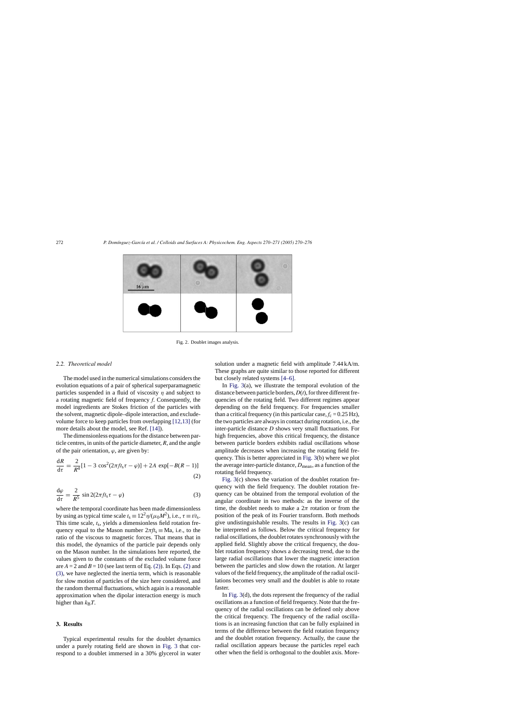<span id="page-2-0"></span>

Fig. 2. Doublet images analysis.

#### *2.2. Theoretical model*

The model used in the numerical simulations considers the evolution equations of a pair of spherical superparamagnetic particles suspended in a fluid of viscosity  $\eta$  and subject to a rotating magnetic field of frequency *f*. Consequently, the model ingredients are Stokes friction of the particles with the solvent, magnetic dipole–dipole interaction, and excludevolume force to keep particles from overlapping [\[12,13\]](#page-6-0) (for more details about the model, see Ref. [\[14\]\).](#page-6-0)

The dimensionless equations for the distance between particle centres, in units of the particle diameter, *R*, and the angle of the pair orientation,  $\varphi$ , are given by:

$$
\frac{dR}{d\tau} = \frac{2}{R^4} [1 - 3 \cos^2(2\pi ft_s \tau - \varphi)] + 2A \exp[-B(R - 1)]
$$
\n(2)

$$
\frac{d\varphi}{d\tau} = \frac{2}{R^5} \sin 2(2\pi ft_s \tau - \varphi)
$$
 (3)

where the temporal coordinate has been made dimensionless by using as typical time scale  $t_s \equiv 12^2 \eta/(\mu_0 M^2)$ , i.e.,  $\tau \equiv t/t_s$ . This time scale, *t*s, yields a dimensionless field rotation frequency equal to the Mason number  $2\pi f_s \equiv Ma$ , i.e., to the ratio of the viscous to magnetic forces. That means that in this model, the dynamics of the particle pair depends only on the Mason number. In the simulations here reported, the values given to the constants of the excluded volume force are  $A = 2$  and  $B = 10$  (see last term of Eq. (2)). In Eqs. (2) and (3), we have neglected the inertia term, which is reasonable for slow motion of particles of the size here considered, and the random thermal fluctuations, which again is a reasonable approximation when the dipolar interaction energy is much higher than  $k_B T$ .

# **3. Results**

Typical experimental results for the doublet dynamics under a purely rotating field are shown in [Fig. 3](#page-3-0) that correspond to a doublet immersed in a 30% glycerol in water solution under a magnetic field with amplitude 7.44 kA/m. These graphs are quite similar to those reported for different but closely related systems [\[4–6\].](#page-6-0)

In [Fig. 3\(a](#page-3-0)), we illustrate the temporal evolution of the distance between particle borders, *D*(*t*), for three different frequencies of the rotating field. Two different regimes appear depending on the field frequency. For frequencies smaller than a critical frequency (in this particular case,  $f_c = 0.25$  Hz), the two particles are always in contact during rotation, i.e., the inter-particle distance *D* shows very small fluctuations. For high frequencies, above this critical frequency, the distance between particle borders exhibits radial oscillations whose amplitude decreases when increasing the rotating field frequency. This is better appreciated in [Fig. 3\(b](#page-3-0)) where we plot the average inter-particle distance,  $D_{\text{mean}}$ , as a function of the rotating field frequency.

[Fig. 3\(c](#page-3-0)) shows the variation of the doublet rotation frequency with the field frequency. The doublet rotation frequency can be obtained from the temporal evolution of the angular coordinate in two methods: as the inverse of the time, the doublet needs to make a  $2\pi$  rotation or from the position of the peak of its Fourier transform. Both methods give undistinguishable results. The results in [Fig. 3\(c](#page-3-0)) can be interpreted as follows. Below the critical frequency for radial oscillations, the doublet rotates synchronously with the applied field. Slightly above the critical frequency, the doublet rotation frequency shows a decreasing trend, due to the large radial oscillations that lower the magnetic interaction between the particles and slow down the rotation. At larger values of the field frequency, the amplitude of the radial oscillations becomes very small and the doublet is able to rotate faster.

In [Fig. 3\(d](#page-3-0)), the dots represent the frequency of the radial oscillations as a function of field frequency. Note that the frequency of the radial oscillations can be defined only above the critical frequency. The frequency of the radial oscillations is an increasing function that can be fully explained in terms of the difference between the field rotation frequency and the doublet rotation frequency. Actually, the cause the radial oscillation appears because the particles repel each other when the field is orthogonal to the doublet axis. More-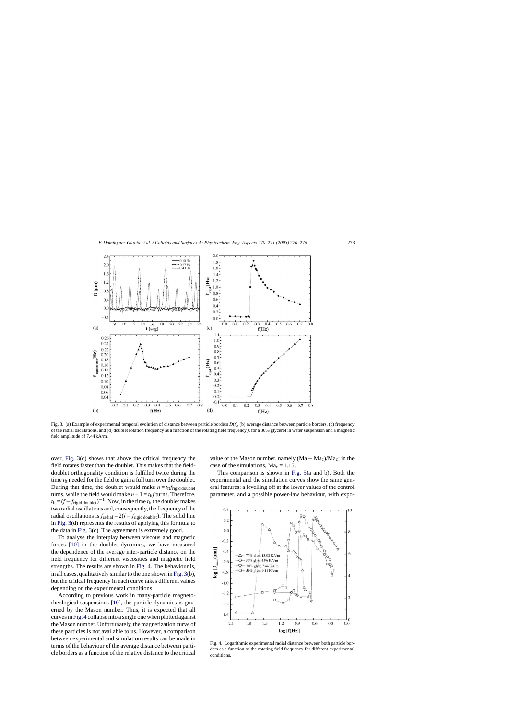<span id="page-3-0"></span>

Fig. 3. (a) Example of experimental temporal evolution of distance between particle borders *D*(*t*), (b) average distance between particle borders, (c) frequency of the radial oscillations, and (d) doublet rotation frequency as a function of the rotating field frequency *f*, for a 30% glycerol in water suspension and a magnetic field amplitude of 7.44 kA/m.

over, Fig. 3(c) shows that above the critical frequency the field rotates faster than the doublet. This makes that the fielddoublet orthogonality condition is fulfilled twice during the time  $t_{\text{ft}}$  needed for the field to gain a full turn over the doublet. During that time, the doublet would make  $n = t$ ft $f$ rigid doublet turns, while the field would make  $n + 1 = t_{\text{ff}} f$  turns. Therefore,  $t_{\text{ft}} = (f - f_{\text{rigid doublet}})^{-1}$ . Now, in the time  $t_{\text{ft}}$  the doublet makes two radial oscillations and, consequently, the frequency of the radial oscillations is  $f_{radial} = 2(f - f_{rigid\ doublet})$ . The solid line in Fig. 3(d) represents the results of applying this formula to the data in Fig. 3(c). The agreement is extremely good.

To analyse the interplay between viscous and magnetic forces [\[10\]](#page-6-0) in the doublet dynamics, we have measured the dependence of the average inter-particle distance on the field frequency for different viscosities and magnetic field strengths. The results are shown in Fig. 4. The behaviour is, in all cases, qualitatively similar to the one shown in Fig. 3(b), but the critical frequency in each curve takes different values depending on the experimental conditions.

According to previous work in many-particle magnetorheological suspensions [\[10\],](#page-6-0) the particle dynamics is governed by the Mason number. Thus, it is expected that all curves in Fig. 4 collapse into a single one when plotted against the Mason number. Unfortunately, the magnetization curve of these particles is not available to us. However, a comparison between experimental and simulation results can be made in terms of the behaviour of the average distance between particle borders as a function of the relative distance to the critical value of the Mason number, namely  $(Ma - Ma_c)/Ma_c$ ; in the case of the simulations,  $Ma_c = 1.15$ .

This comparison is shown in [Fig. 5\(a](#page-4-0) and b). Both the experimental and the simulation curves show the same general features: a levelling off at the lower values of the control parameter, and a possible power-law behaviour, with expo-



Fig. 4. Logarithmic experimental radial distance between both particle borders as a function of the rotating field frequency for different experimental conditions.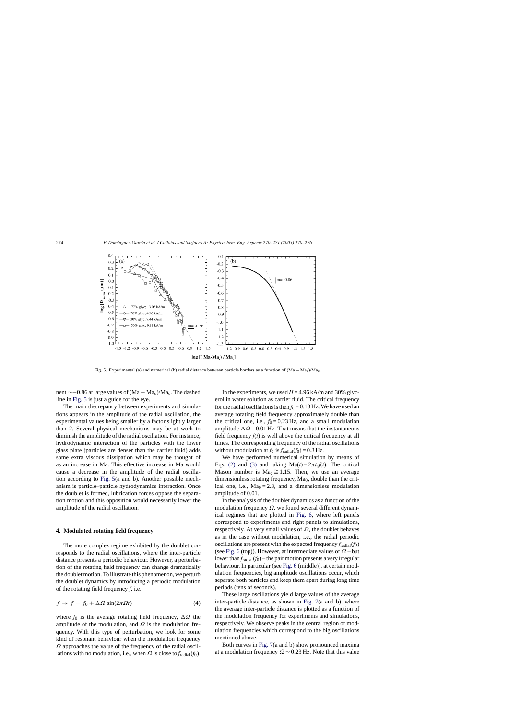<span id="page-4-0"></span>

Fig. 5. Experimental (a) and numerical (b) radial distance between particle borders as a function of (Ma − Mac)/Mac.

nent ∼−0.86 at large values of (Ma – Ma<sub>c</sub>)/Ma<sub>c</sub>. The dashed line in Fig. 5 is just a guide for the eye.

The main discrepancy between experiments and simulations appears in the amplitude of the radial oscillation, the experimental values being smaller by a factor slightly larger than 2. Several physical mechanisms may be at work to diminish the amplitude of the radial oscillation. For instance, hydrodynamic interaction of the particles with the lower glass plate (particles are denser than the carrier fluid) adds some extra viscous dissipation which may be thought of as an increase in Ma. This effective increase in Ma would cause a decrease in the amplitude of the radial oscillation according to Fig. 5(a and b). Another possible mechanism is particle–particle hydrodynamics interaction. Once the doublet is formed, lubrication forces oppose the separation motion and this opposition would necessarily lower the amplitude of the radial oscillation.

## **4. Modulated rotating field frequency**

The more complex regime exhibited by the doublet corresponds to the radial oscillations, where the inter-particle distance presents a periodic behaviour. However, a perturbation of the rotating field frequency can change dramatically the doublet motion. To illustrate this phenomenon, we perturb the doublet dynamics by introducing a periodic modulation of the rotating field frequency *f*, i.e.,

$$
f \to f = f_0 + \Delta \Omega \sin(2\pi \Omega t) \tag{4}
$$

where  $f_0$  is the average rotating field frequency,  $\Delta \Omega$  the amplitude of the modulation, and  $\Omega$  is the modulation frequency. With this type of perturbation, we look for some kind of resonant behaviour when the modulation frequency  $\Omega$  approaches the value of the frequency of the radial oscillations with no modulation, i.e., when  $\Omega$  is close to  $f_{\text{radial}}(f_0)$ .

In the experiments, we used  $H = 4.96$  kA/m and 30% glycerol in water solution as carrier fluid. The critical frequency for the radial oscillations is then  $f_c = 0.13$  Hz. We have used an average rotating field frequency approximately double than the critical one, i.e.,  $f_0 = 0.23$  Hz, and a small modulation amplitude  $\Delta \Omega = 0.01$  Hz. That means that the instantaneous field frequency  $f(t)$  is well above the critical frequency at all times. The corresponding frequency of the radial oscillations without modulation at  $f_0$  is  $f_{radial}(f_0) = 0.3$  Hz.

We have performed numerical simulation by means of Eqs. [\(2\)](#page-2-0) and [\(3\)](#page-2-0) and taking  $Ma(t) = 2\pi t_s f(t)$ . The critical Mason number is Ma<sub>c</sub>  $\cong$  1.15. Then, we use an average dimensionless rotating frequency,  $Ma<sub>0</sub>$ , double than the critical one, i.e.,  $Ma<sub>0</sub> = 2.3$ , and a dimensionless modulation amplitude of 0.01.

In the analysis of the doublet dynamics as a function of the modulation frequency  $\Omega$ , we found several different dynamical regimes that are plotted in [Fig. 6,](#page-5-0) where left panels correspond to experiments and right panels to simulations, respectively. At very small values of  $\Omega$ , the doublet behaves as in the case without modulation, i.e., the radial periodic oscillations are present with the expected frequency  $f_{radial}(f_0)$ (see [Fig. 6](#page-5-0) (top)). However, at intermediate values of  $\Omega$  – but lower than  $f_{radial}(f_0)$  – the pair motion presents a very irregular behaviour. In particular (see [Fig. 6](#page-5-0) (middle)), at certain modulation frequencies, big amplitude oscillations occur, which separate both particles and keep them apart during long time periods (tens of seconds).

These large oscillations yield large values of the average inter-particle distance, as shown in [Fig. 7\(a](#page-6-0) and b), where the average inter-particle distance is plotted as a function of the modulation frequency for experiments and simulations, respectively. We observe peaks in the central region of modulation frequencies which correspond to the big oscillations mentioned above.

Both curves in [Fig. 7\(a](#page-6-0) and b) show pronounced maxima at a modulation frequency  $\Omega \sim 0.23$  Hz. Note that this value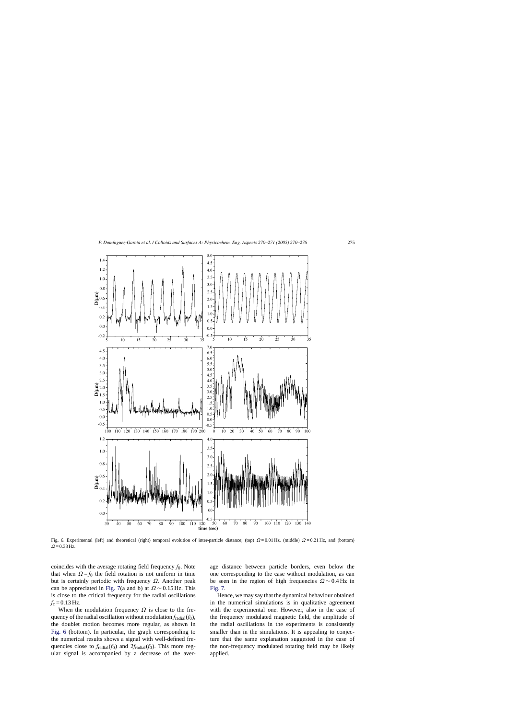<span id="page-5-0"></span>

Fig. 6. Experimental (left) and theoretical (right) temporal evolution of inter-particle distance; (top)  $\Omega = 0.01$  Hz, (middle)  $\Omega = 0.21$  Hz, and (bottom)  $Ω = 0.33$  Hz.

coincides with the average rotating field frequency  $f_0$ . Note that when  $\Omega = f_0$  the field rotation is not uniform in time but is certainly periodic with frequency  $\Omega$ . Another peak can be appreciated in [Fig. 7\(a](#page-6-0) and b) at  $\Omega \sim 0.15$  Hz. This is close to the critical frequency for the radial oscillations  $f_c = 0.13$  Hz.

When the modulation frequency  $\Omega$  is close to the frequency of the radial oscillation without modulation  $f_{radial}(f_0)$ , the doublet motion becomes more regular, as shown in Fig. 6 (bottom). In particular, the graph corresponding to the numerical results shows a signal with well-defined frequencies close to  $f_{radial}(f_0)$  and  $2f_{radial}(f_0)$ . This more regular signal is accompanied by a decrease of the average distance between particle borders, even below the one corresponding to the case without modulation, as can be seen in the region of high frequencies  $\Omega$  ~ 0.4 Hz in [Fig. 7.](#page-6-0)

Hence, we may say that the dynamical behaviour obtained in the numerical simulations is in qualitative agreement with the experimental one. However, also in the case of the frequency modulated magnetic field, the amplitude of the radial oscillations in the experiments is consistently smaller than in the simulations. It is appealing to conjecture that the same explanation suggested in the case of the non-frequency modulated rotating field may be likely applied.